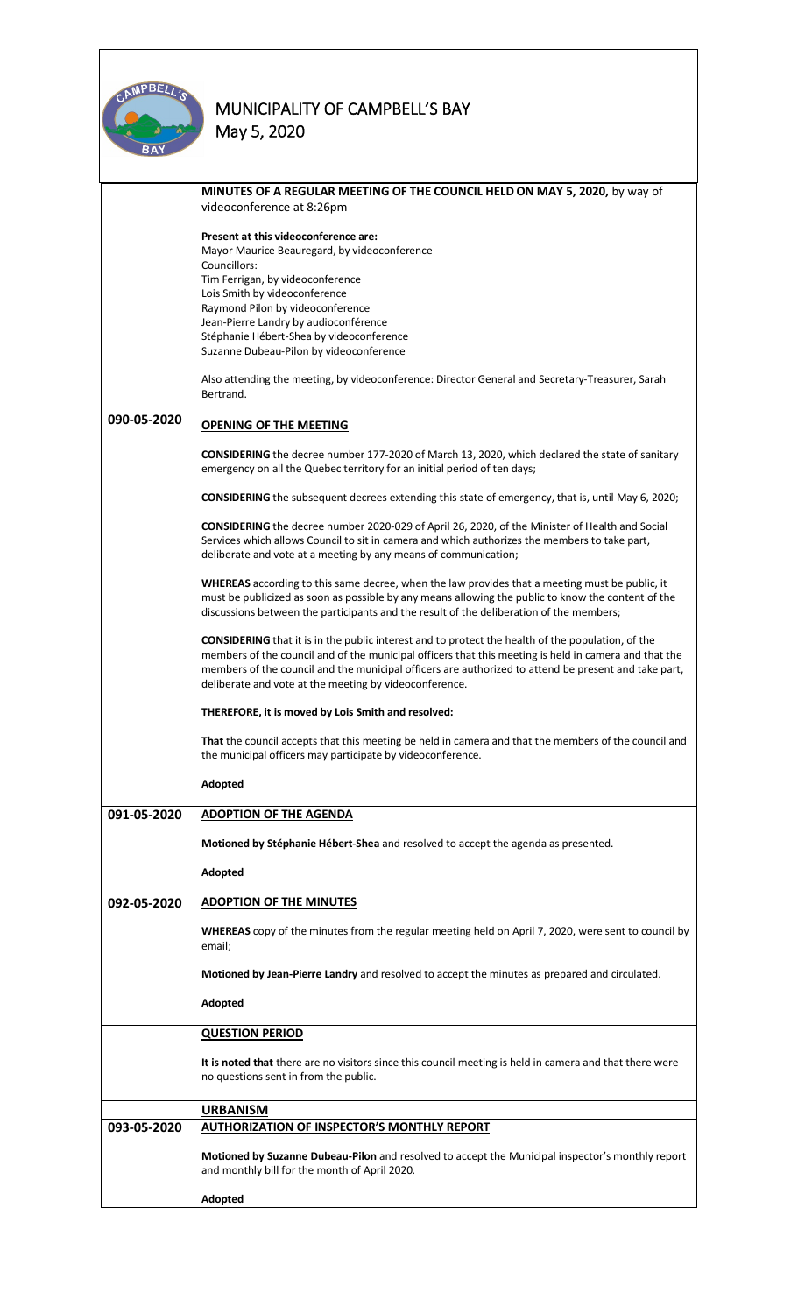

|             | MINUTES OF A REGULAR MEETING OF THE COUNCIL HELD ON MAY 5, 2020, by way of                                                                                                                                                                                                                                                                                                          |  |  |  |
|-------------|-------------------------------------------------------------------------------------------------------------------------------------------------------------------------------------------------------------------------------------------------------------------------------------------------------------------------------------------------------------------------------------|--|--|--|
|             | videoconference at 8:26pm                                                                                                                                                                                                                                                                                                                                                           |  |  |  |
|             | Present at this videoconference are:                                                                                                                                                                                                                                                                                                                                                |  |  |  |
|             | Mayor Maurice Beauregard, by videoconference<br>Councillors:                                                                                                                                                                                                                                                                                                                        |  |  |  |
|             | Tim Ferrigan, by videoconference                                                                                                                                                                                                                                                                                                                                                    |  |  |  |
|             | Lois Smith by videoconference<br>Raymond Pilon by videoconference                                                                                                                                                                                                                                                                                                                   |  |  |  |
|             | Jean-Pierre Landry by audioconférence                                                                                                                                                                                                                                                                                                                                               |  |  |  |
|             | Stéphanie Hébert-Shea by videoconference<br>Suzanne Dubeau-Pilon by videoconference                                                                                                                                                                                                                                                                                                 |  |  |  |
|             |                                                                                                                                                                                                                                                                                                                                                                                     |  |  |  |
|             | Also attending the meeting, by videoconference: Director General and Secretary-Treasurer, Sarah<br>Bertrand.                                                                                                                                                                                                                                                                        |  |  |  |
| 090-05-2020 | <b>OPENING OF THE MEETING</b>                                                                                                                                                                                                                                                                                                                                                       |  |  |  |
|             | <b>CONSIDERING</b> the decree number 177-2020 of March 13, 2020, which declared the state of sanitary<br>emergency on all the Quebec territory for an initial period of ten days;                                                                                                                                                                                                   |  |  |  |
|             | <b>CONSIDERING</b> the subsequent decrees extending this state of emergency, that is, until May 6, 2020;                                                                                                                                                                                                                                                                            |  |  |  |
|             | CONSIDERING the decree number 2020-029 of April 26, 2020, of the Minister of Health and Social<br>Services which allows Council to sit in camera and which authorizes the members to take part,<br>deliberate and vote at a meeting by any means of communication;                                                                                                                  |  |  |  |
|             | WHEREAS according to this same decree, when the law provides that a meeting must be public, it<br>must be publicized as soon as possible by any means allowing the public to know the content of the<br>discussions between the participants and the result of the deliberation of the members;                                                                                     |  |  |  |
|             | <b>CONSIDERING</b> that it is in the public interest and to protect the health of the population, of the<br>members of the council and of the municipal officers that this meeting is held in camera and that the<br>members of the council and the municipal officers are authorized to attend be present and take part,<br>deliberate and vote at the meeting by videoconference. |  |  |  |
|             | THEREFORE, it is moved by Lois Smith and resolved:                                                                                                                                                                                                                                                                                                                                  |  |  |  |
|             | That the council accepts that this meeting be held in camera and that the members of the council and<br>the municipal officers may participate by videoconference.                                                                                                                                                                                                                  |  |  |  |
|             | Adopted                                                                                                                                                                                                                                                                                                                                                                             |  |  |  |
| 091-05-2020 | <b>ADOPTION OF THE AGENDA</b>                                                                                                                                                                                                                                                                                                                                                       |  |  |  |
|             | Motioned by Stéphanie Hébert-Shea and resolved to accept the agenda as presented.                                                                                                                                                                                                                                                                                                   |  |  |  |
|             |                                                                                                                                                                                                                                                                                                                                                                                     |  |  |  |
|             | Adopted                                                                                                                                                                                                                                                                                                                                                                             |  |  |  |
| 092-05-2020 | <b>ADOPTION OF THE MINUTES</b>                                                                                                                                                                                                                                                                                                                                                      |  |  |  |
|             | WHEREAS copy of the minutes from the regular meeting held on April 7, 2020, were sent to council by<br>email;                                                                                                                                                                                                                                                                       |  |  |  |
|             | Motioned by Jean-Pierre Landry and resolved to accept the minutes as prepared and circulated.                                                                                                                                                                                                                                                                                       |  |  |  |
|             | Adopted                                                                                                                                                                                                                                                                                                                                                                             |  |  |  |
|             | <b>QUESTION PERIOD</b>                                                                                                                                                                                                                                                                                                                                                              |  |  |  |
|             | It is noted that there are no visitors since this council meeting is held in camera and that there were<br>no questions sent in from the public.                                                                                                                                                                                                                                    |  |  |  |
|             | <b>URBANISM</b>                                                                                                                                                                                                                                                                                                                                                                     |  |  |  |
| 093-05-2020 | <b>AUTHORIZATION OF INSPECTOR'S MONTHLY REPORT</b>                                                                                                                                                                                                                                                                                                                                  |  |  |  |
|             | Motioned by Suzanne Dubeau-Pilon and resolved to accept the Municipal inspector's monthly report<br>and monthly bill for the month of April 2020.                                                                                                                                                                                                                                   |  |  |  |
|             | Adopted                                                                                                                                                                                                                                                                                                                                                                             |  |  |  |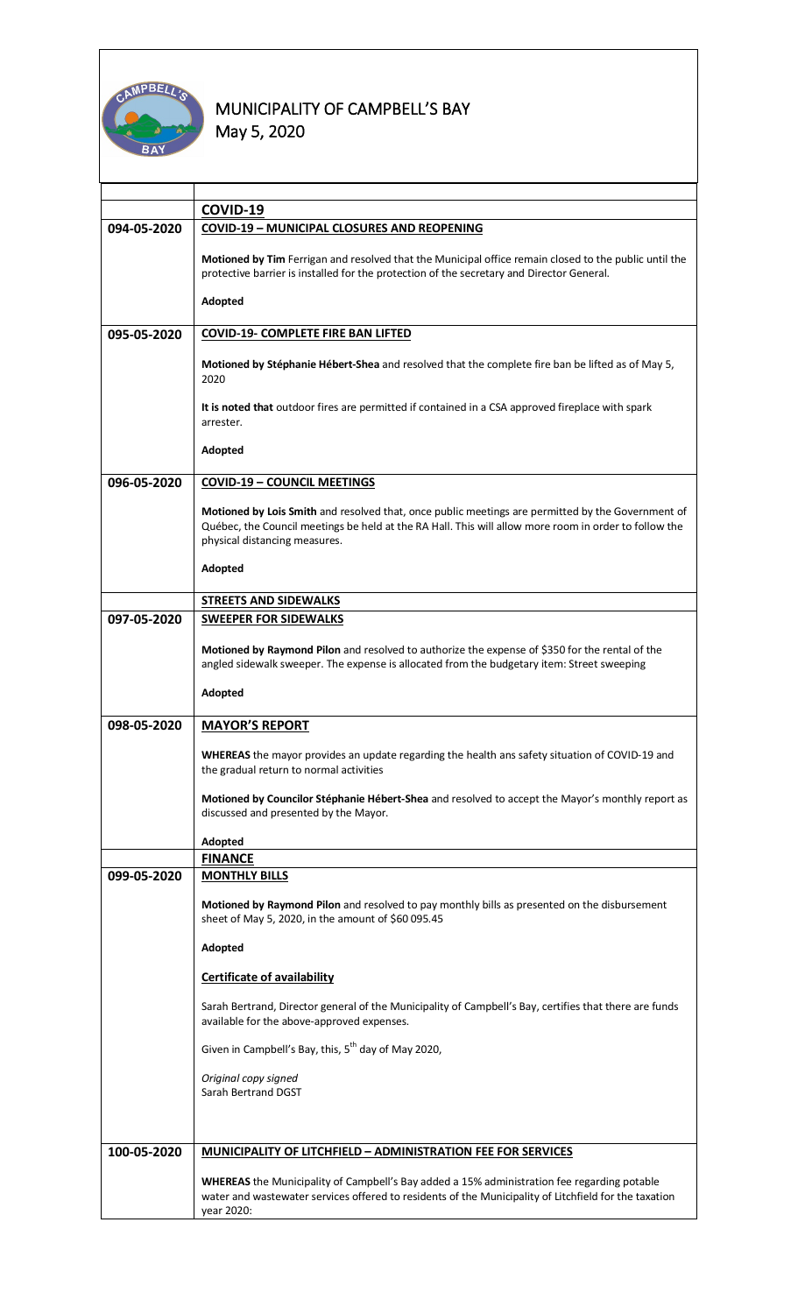

|             | COVID-19                                                                                                                                                                                                                                    |  |  |  |
|-------------|---------------------------------------------------------------------------------------------------------------------------------------------------------------------------------------------------------------------------------------------|--|--|--|
| 094-05-2020 | <b>COVID-19 - MUNICIPAL CLOSURES AND REOPENING</b>                                                                                                                                                                                          |  |  |  |
|             | Motioned by Tim Ferrigan and resolved that the Municipal office remain closed to the public until the<br>protective barrier is installed for the protection of the secretary and Director General.                                          |  |  |  |
|             | Adopted                                                                                                                                                                                                                                     |  |  |  |
| 095-05-2020 | <b>COVID-19- COMPLETE FIRE BAN LIFTED</b>                                                                                                                                                                                                   |  |  |  |
|             | Motioned by Stéphanie Hébert-Shea and resolved that the complete fire ban be lifted as of May 5,<br>2020                                                                                                                                    |  |  |  |
|             | It is noted that outdoor fires are permitted if contained in a CSA approved fireplace with spark<br>arrester.                                                                                                                               |  |  |  |
|             | Adopted                                                                                                                                                                                                                                     |  |  |  |
| 096-05-2020 | <b>COVID-19 - COUNCIL MEETINGS</b>                                                                                                                                                                                                          |  |  |  |
|             | Motioned by Lois Smith and resolved that, once public meetings are permitted by the Government of<br>Québec, the Council meetings be held at the RA Hall. This will allow more room in order to follow the<br>physical distancing measures. |  |  |  |
|             | Adopted                                                                                                                                                                                                                                     |  |  |  |
|             | <b>STREETS AND SIDEWALKS</b>                                                                                                                                                                                                                |  |  |  |
| 097-05-2020 | <b>SWEEPER FOR SIDEWALKS</b>                                                                                                                                                                                                                |  |  |  |
|             | Motioned by Raymond Pilon and resolved to authorize the expense of \$350 for the rental of the<br>angled sidewalk sweeper. The expense is allocated from the budgetary item: Street sweeping                                                |  |  |  |
|             | Adopted                                                                                                                                                                                                                                     |  |  |  |
| 098-05-2020 | <b>MAYOR'S REPORT</b>                                                                                                                                                                                                                       |  |  |  |
|             | WHEREAS the mayor provides an update regarding the health ans safety situation of COVID-19 and<br>the gradual return to normal activities                                                                                                   |  |  |  |
|             | Motioned by Councilor Stéphanie Hébert-Shea and resolved to accept the Mayor's monthly report as<br>discussed and presented by the Mayor.                                                                                                   |  |  |  |
|             | Adopted                                                                                                                                                                                                                                     |  |  |  |
|             | <b>FINANCE</b>                                                                                                                                                                                                                              |  |  |  |
| 099-05-2020 | <b>MONTHLY BILLS</b>                                                                                                                                                                                                                        |  |  |  |
|             | Motioned by Raymond Pilon and resolved to pay monthly bills as presented on the disbursement<br>sheet of May 5, 2020, in the amount of \$60 095.45                                                                                          |  |  |  |
|             | Adopted                                                                                                                                                                                                                                     |  |  |  |
|             | <b>Certificate of availability</b>                                                                                                                                                                                                          |  |  |  |
|             | Sarah Bertrand, Director general of the Municipality of Campbell's Bay, certifies that there are funds<br>available for the above-approved expenses.                                                                                        |  |  |  |
|             | Given in Campbell's Bay, this, 5 <sup>th</sup> day of May 2020,                                                                                                                                                                             |  |  |  |
|             | Original copy signed<br>Sarah Bertrand DGST                                                                                                                                                                                                 |  |  |  |
|             |                                                                                                                                                                                                                                             |  |  |  |
| 100-05-2020 | <b>MUNICIPALITY OF LITCHFIELD - ADMINISTRATION FEE FOR SERVICES</b>                                                                                                                                                                         |  |  |  |
|             | <b>WHEREAS</b> the Municipality of Campbell's Bay added a 15% administration fee regarding potable<br>water and wastewater services offered to residents of the Municipality of Litchfield for the taxation<br>year 2020:                   |  |  |  |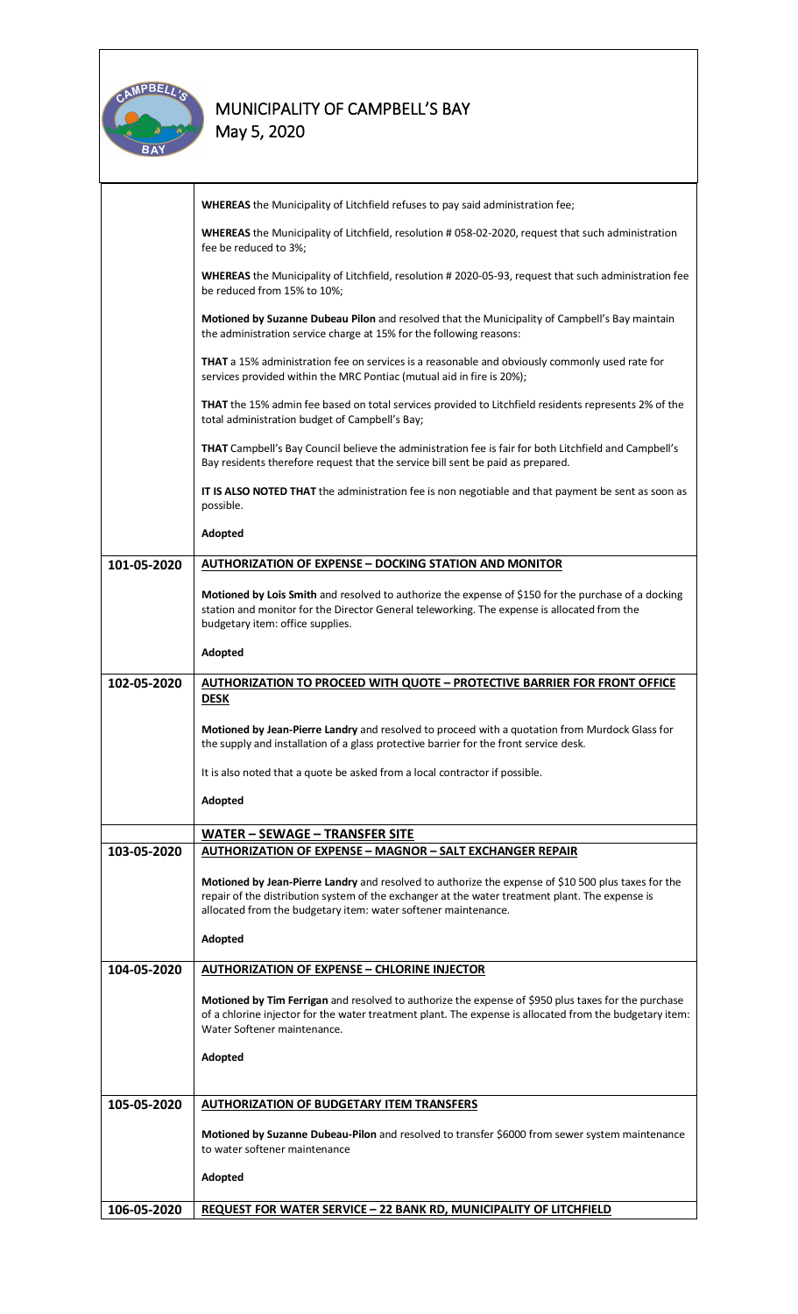

# **MUNICIPALITY OF CAMPBELL'S BAY**

**May 5, 2020** 

|             | WHEREAS the Municipality of Litchfield refuses to pay said administration fee;                                                                                                                                                                                           |  |  |  |
|-------------|--------------------------------------------------------------------------------------------------------------------------------------------------------------------------------------------------------------------------------------------------------------------------|--|--|--|
|             | WHEREAS the Municipality of Litchfield, resolution #058-02-2020, request that such administration<br>fee be reduced to 3%;                                                                                                                                               |  |  |  |
|             | WHEREAS the Municipality of Litchfield, resolution # 2020-05-93, request that such administration fee<br>be reduced from 15% to 10%;                                                                                                                                     |  |  |  |
|             | Motioned by Suzanne Dubeau Pilon and resolved that the Municipality of Campbell's Bay maintain<br>the administration service charge at 15% for the following reasons:                                                                                                    |  |  |  |
|             | THAT a 15% administration fee on services is a reasonable and obviously commonly used rate for<br>services provided within the MRC Pontiac (mutual aid in fire is 20%);                                                                                                  |  |  |  |
|             | THAT the 15% admin fee based on total services provided to Litchfield residents represents 2% of the<br>total administration budget of Campbell's Bay;                                                                                                                   |  |  |  |
|             | THAT Campbell's Bay Council believe the administration fee is fair for both Litchfield and Campbell's<br>Bay residents therefore request that the service bill sent be paid as prepared.                                                                                 |  |  |  |
|             | IT IS ALSO NOTED THAT the administration fee is non negotiable and that payment be sent as soon as<br>possible.                                                                                                                                                          |  |  |  |
|             | Adopted                                                                                                                                                                                                                                                                  |  |  |  |
| 101-05-2020 | <b>AUTHORIZATION OF EXPENSE - DOCKING STATION AND MONITOR</b>                                                                                                                                                                                                            |  |  |  |
|             | Motioned by Lois Smith and resolved to authorize the expense of \$150 for the purchase of a docking<br>station and monitor for the Director General teleworking. The expense is allocated from the<br>budgetary item: office supplies.                                   |  |  |  |
|             | Adopted                                                                                                                                                                                                                                                                  |  |  |  |
| 102-05-2020 | <b>AUTHORIZATION TO PROCEED WITH QUOTE - PROTECTIVE BARRIER FOR FRONT OFFICE</b><br><b>DESK</b>                                                                                                                                                                          |  |  |  |
|             | Motioned by Jean-Pierre Landry and resolved to proceed with a quotation from Murdock Glass for<br>the supply and installation of a glass protective barrier for the front service desk.                                                                                  |  |  |  |
|             | It is also noted that a quote be asked from a local contractor if possible.                                                                                                                                                                                              |  |  |  |
|             | Adopted                                                                                                                                                                                                                                                                  |  |  |  |
|             | WATER - SEWAGE - TRANSFER SITE                                                                                                                                                                                                                                           |  |  |  |
| 103-05-2020 | <b>AUTHORIZATION OF EXPENSE - MAGNOR - SALT EXCHANGER REPAIR</b>                                                                                                                                                                                                         |  |  |  |
|             | Motioned by Jean-Pierre Landry and resolved to authorize the expense of \$10 500 plus taxes for the<br>repair of the distribution system of the exchanger at the water treatment plant. The expense is<br>allocated from the budgetary item: water softener maintenance. |  |  |  |
|             | Adopted                                                                                                                                                                                                                                                                  |  |  |  |
| 104-05-2020 | <b>AUTHORIZATION OF EXPENSE - CHLORINE INJECTOR</b>                                                                                                                                                                                                                      |  |  |  |
|             | Motioned by Tim Ferrigan and resolved to authorize the expense of \$950 plus taxes for the purchase<br>of a chlorine injector for the water treatment plant. The expense is allocated from the budgetary item:<br>Water Softener maintenance.                            |  |  |  |
|             | Adopted                                                                                                                                                                                                                                                                  |  |  |  |
| 105-05-2020 | <b>AUTHORIZATION OF BUDGETARY ITEM TRANSFERS</b>                                                                                                                                                                                                                         |  |  |  |
|             | Motioned by Suzanne Dubeau-Pilon and resolved to transfer \$6000 from sewer system maintenance<br>to water softener maintenance                                                                                                                                          |  |  |  |
|             | Adopted                                                                                                                                                                                                                                                                  |  |  |  |
| 106-05-2020 | <b>REQUEST FOR WATER SERVICE - 22 BANK RD, MUNICIPALITY OF LITCHFIELD</b>                                                                                                                                                                                                |  |  |  |
|             |                                                                                                                                                                                                                                                                          |  |  |  |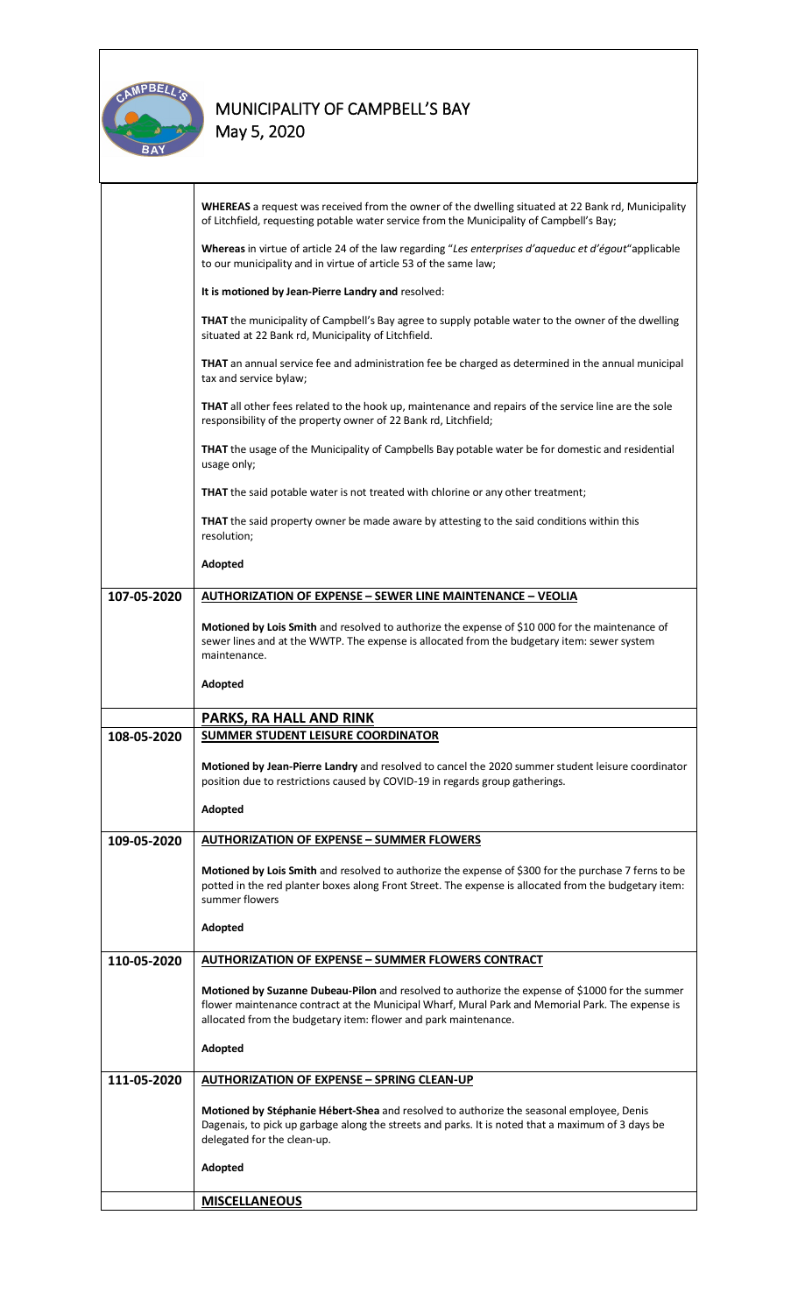

## **MUNICIPALITY OF CAMPBELL'S BAY**

**May 5, 2020** 

|             | WHEREAS a request was received from the owner of the dwelling situated at 22 Bank rd, Municipality<br>of Litchfield, requesting potable water service from the Municipality of Campbell's Bay;                                                                         |  |  |  |
|-------------|------------------------------------------------------------------------------------------------------------------------------------------------------------------------------------------------------------------------------------------------------------------------|--|--|--|
|             | Whereas in virtue of article 24 of the law regarding "Les enterprises d'aqueduc et d'égout"applicable<br>to our municipality and in virtue of article 53 of the same law;                                                                                              |  |  |  |
|             | It is motioned by Jean-Pierre Landry and resolved:                                                                                                                                                                                                                     |  |  |  |
|             | THAT the municipality of Campbell's Bay agree to supply potable water to the owner of the dwelling<br>situated at 22 Bank rd, Municipality of Litchfield.                                                                                                              |  |  |  |
|             | THAT an annual service fee and administration fee be charged as determined in the annual municipal<br>tax and service bylaw;                                                                                                                                           |  |  |  |
|             | <b>THAT</b> all other fees related to the hook up, maintenance and repairs of the service line are the sole<br>responsibility of the property owner of 22 Bank rd, Litchfield;                                                                                         |  |  |  |
|             | <b>THAT</b> the usage of the Municipality of Campbells Bay potable water be for domestic and residential<br>usage only;                                                                                                                                                |  |  |  |
|             | <b>THAT</b> the said potable water is not treated with chlorine or any other treatment;                                                                                                                                                                                |  |  |  |
|             | <b>THAT</b> the said property owner be made aware by attesting to the said conditions within this<br>resolution;                                                                                                                                                       |  |  |  |
|             | Adopted                                                                                                                                                                                                                                                                |  |  |  |
| 107-05-2020 | <b>AUTHORIZATION OF EXPENSE - SEWER LINE MAINTENANCE - VEOLIA</b>                                                                                                                                                                                                      |  |  |  |
|             | Motioned by Lois Smith and resolved to authorize the expense of \$10 000 for the maintenance of<br>sewer lines and at the WWTP. The expense is allocated from the budgetary item: sewer system<br>maintenance.                                                         |  |  |  |
|             | Adopted                                                                                                                                                                                                                                                                |  |  |  |
|             |                                                                                                                                                                                                                                                                        |  |  |  |
| 108-05-2020 | PARKS, RA HALL AND RINK<br><b>SUMMER STUDENT LEISURE COORDINATOR</b>                                                                                                                                                                                                   |  |  |  |
|             | Motioned by Jean-Pierre Landry and resolved to cancel the 2020 summer student leisure coordinator<br>position due to restrictions caused by COVID-19 in regards group gatherings.                                                                                      |  |  |  |
|             | Adopted                                                                                                                                                                                                                                                                |  |  |  |
| 109-05-2020 | <b>AUTHORIZATION OF EXPENSE - SUMMER FLOWERS</b>                                                                                                                                                                                                                       |  |  |  |
|             | Motioned by Lois Smith and resolved to authorize the expense of \$300 for the purchase 7 ferns to be<br>potted in the red planter boxes along Front Street. The expense is allocated from the budgetary item:<br>summer flowers                                        |  |  |  |
|             | Adopted                                                                                                                                                                                                                                                                |  |  |  |
| 110-05-2020 | <b>AUTHORIZATION OF EXPENSE - SUMMER FLOWERS CONTRACT</b>                                                                                                                                                                                                              |  |  |  |
|             |                                                                                                                                                                                                                                                                        |  |  |  |
|             | Motioned by Suzanne Dubeau-Pilon and resolved to authorize the expense of \$1000 for the summer<br>flower maintenance contract at the Municipal Wharf, Mural Park and Memorial Park. The expense is<br>allocated from the budgetary item: flower and park maintenance. |  |  |  |
|             | Adopted                                                                                                                                                                                                                                                                |  |  |  |
| 111-05-2020 | <b>AUTHORIZATION OF EXPENSE - SPRING CLEAN-UP</b>                                                                                                                                                                                                                      |  |  |  |
|             | Motioned by Stéphanie Hébert-Shea and resolved to authorize the seasonal employee, Denis<br>Dagenais, to pick up garbage along the streets and parks. It is noted that a maximum of 3 days be<br>delegated for the clean-up.                                           |  |  |  |
|             | Adopted                                                                                                                                                                                                                                                                |  |  |  |
|             | <b>MISCELLANEOUS</b>                                                                                                                                                                                                                                                   |  |  |  |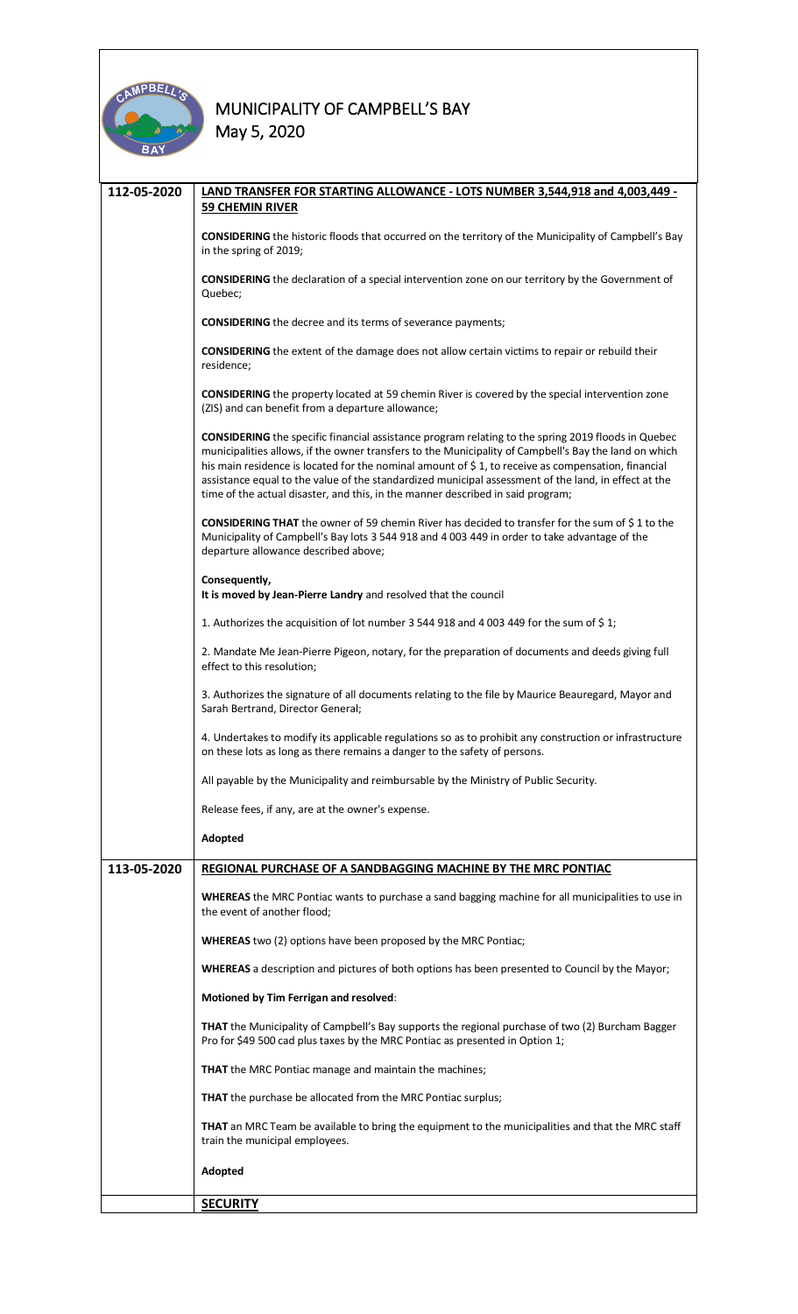

| 112-05-2020 | LAND TRANSFER FOR STARTING ALLOWANCE - LOTS NUMBER 3,544,918 and 4,003,449 -<br><b>59 CHEMIN RIVER</b>                                                                                                                                                                                                                                                                                                                                                                                                              |  |  |  |
|-------------|---------------------------------------------------------------------------------------------------------------------------------------------------------------------------------------------------------------------------------------------------------------------------------------------------------------------------------------------------------------------------------------------------------------------------------------------------------------------------------------------------------------------|--|--|--|
|             | <b>CONSIDERING</b> the historic floods that occurred on the territory of the Municipality of Campbell's Bay<br>in the spring of 2019;                                                                                                                                                                                                                                                                                                                                                                               |  |  |  |
|             | <b>CONSIDERING</b> the declaration of a special intervention zone on our territory by the Government of<br>Quebec;                                                                                                                                                                                                                                                                                                                                                                                                  |  |  |  |
|             | <b>CONSIDERING</b> the decree and its terms of severance payments;                                                                                                                                                                                                                                                                                                                                                                                                                                                  |  |  |  |
|             | <b>CONSIDERING</b> the extent of the damage does not allow certain victims to repair or rebuild their<br>residence;                                                                                                                                                                                                                                                                                                                                                                                                 |  |  |  |
|             | <b>CONSIDERING</b> the property located at 59 chemin River is covered by the special intervention zone<br>(ZIS) and can benefit from a departure allowance;                                                                                                                                                                                                                                                                                                                                                         |  |  |  |
|             | <b>CONSIDERING</b> the specific financial assistance program relating to the spring 2019 floods in Quebec<br>municipalities allows, if the owner transfers to the Municipality of Campbell's Bay the land on which<br>his main residence is located for the nominal amount of \$1, to receive as compensation, financial<br>assistance equal to the value of the standardized municipal assessment of the land, in effect at the<br>time of the actual disaster, and this, in the manner described in said program; |  |  |  |
|             | CONSIDERING THAT the owner of 59 chemin River has decided to transfer for the sum of \$1 to the<br>Municipality of Campbell's Bay lots 3 544 918 and 4 003 449 in order to take advantage of the<br>departure allowance described above;                                                                                                                                                                                                                                                                            |  |  |  |
|             | Consequently,<br>It is moved by Jean-Pierre Landry and resolved that the council                                                                                                                                                                                                                                                                                                                                                                                                                                    |  |  |  |
|             | 1. Authorizes the acquisition of lot number 3 544 918 and 4 003 449 for the sum of \$1;                                                                                                                                                                                                                                                                                                                                                                                                                             |  |  |  |
|             | 2. Mandate Me Jean-Pierre Pigeon, notary, for the preparation of documents and deeds giving full<br>effect to this resolution;                                                                                                                                                                                                                                                                                                                                                                                      |  |  |  |
|             | 3. Authorizes the signature of all documents relating to the file by Maurice Beauregard, Mayor and<br>Sarah Bertrand, Director General;                                                                                                                                                                                                                                                                                                                                                                             |  |  |  |
|             | 4. Undertakes to modify its applicable regulations so as to prohibit any construction or infrastructure<br>on these lots as long as there remains a danger to the safety of persons.                                                                                                                                                                                                                                                                                                                                |  |  |  |
|             | All payable by the Municipality and reimbursable by the Ministry of Public Security.                                                                                                                                                                                                                                                                                                                                                                                                                                |  |  |  |
|             | Release fees, if any, are at the owner's expense.                                                                                                                                                                                                                                                                                                                                                                                                                                                                   |  |  |  |
|             | Adopted                                                                                                                                                                                                                                                                                                                                                                                                                                                                                                             |  |  |  |
| 113-05-2020 | REGIONAL PURCHASE OF A SANDBAGGING MACHINE BY THE MRC PONTIAC                                                                                                                                                                                                                                                                                                                                                                                                                                                       |  |  |  |
|             | WHEREAS the MRC Pontiac wants to purchase a sand bagging machine for all municipalities to use in<br>the event of another flood;                                                                                                                                                                                                                                                                                                                                                                                    |  |  |  |
|             | <b>WHEREAS</b> two (2) options have been proposed by the MRC Pontiac;                                                                                                                                                                                                                                                                                                                                                                                                                                               |  |  |  |
|             | WHEREAS a description and pictures of both options has been presented to Council by the Mayor;                                                                                                                                                                                                                                                                                                                                                                                                                      |  |  |  |
|             | Motioned by Tim Ferrigan and resolved:                                                                                                                                                                                                                                                                                                                                                                                                                                                                              |  |  |  |
|             | THAT the Municipality of Campbell's Bay supports the regional purchase of two (2) Burcham Bagger<br>Pro for \$49 500 cad plus taxes by the MRC Pontiac as presented in Option 1;                                                                                                                                                                                                                                                                                                                                    |  |  |  |
|             | <b>THAT</b> the MRC Pontiac manage and maintain the machines;                                                                                                                                                                                                                                                                                                                                                                                                                                                       |  |  |  |
|             | <b>THAT</b> the purchase be allocated from the MRC Pontiac surplus;                                                                                                                                                                                                                                                                                                                                                                                                                                                 |  |  |  |
|             | THAT an MRC Team be available to bring the equipment to the municipalities and that the MRC staff<br>train the municipal employees.                                                                                                                                                                                                                                                                                                                                                                                 |  |  |  |
|             | Adopted                                                                                                                                                                                                                                                                                                                                                                                                                                                                                                             |  |  |  |
|             | <b>SECURITY</b>                                                                                                                                                                                                                                                                                                                                                                                                                                                                                                     |  |  |  |